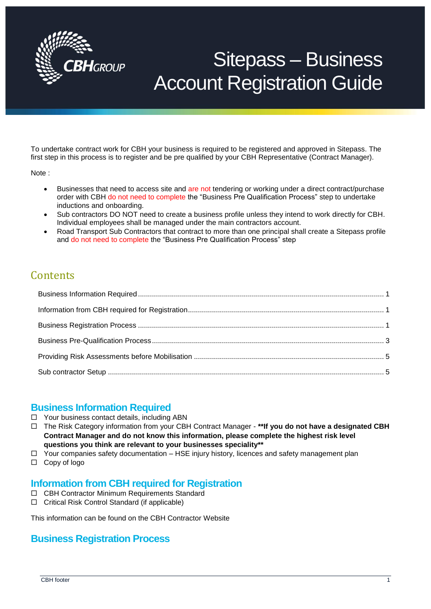

# Sitepass – Business Account Registration Guide

To undertake contract work for CBH your business is required to be registered and approved in Sitepass. The first step in this process is to register and be pre qualified by your CBH Representative (Contract Manager).

Note :

- Businesses that need to access site and are not tendering or working under a direct contract/purchase order with CBH do not need to complete the "Business Pre Qualification Process" step to undertake inductions and onboarding.
- Sub contractors DO NOT need to create a business profile unless they intend to work directly for CBH. Individual employees shall be managed under the main contractors account.
- Road Transport Sub Contractors that contract to more than one principal shall create a Sitepass profile and do not need to complete the "Business Pre Qualification Process" step

## **Contents**

#### <span id="page-0-0"></span>**Business Information Required**

- $\Box$  Your business contact details, including ABN
- The Risk Category information from your CBH Contract Manager **\*\*If you do not have a designated CBH Contract Manager and do not know this information, please complete the highest risk level questions you think are relevant to your businesses speciality\*\***
- $\Box$  Your companies safety documentation HSE injury history, licences and safety management plan
- □ Copy of logo

#### <span id="page-0-1"></span>**Information from CBH required for Registration**

- CBH Contractor Minimum Requirements Standard
- □ Critical Risk Control Standard (if applicable)

<span id="page-0-2"></span>This information can be found on the CBH Contractor Website

#### **Business Registration Process**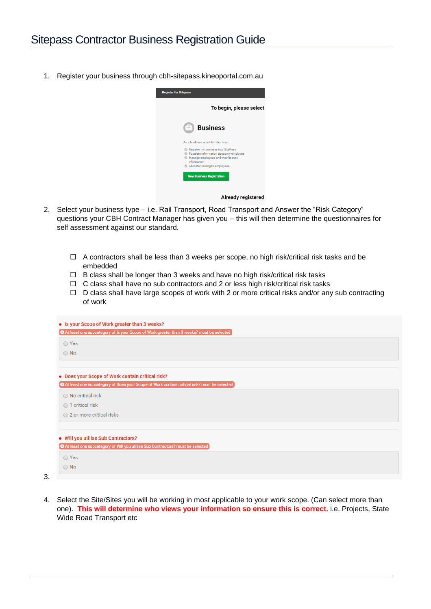1. Register your business through cbh-sitepass.kineoportal.com.au



- 2. Select your business type i.e. Rail Transport, Road Transport and Answer the "Risk Category" questions your CBH Contract Manager has given you – this will then determine the questionnaires for self assessment against our standard.
	- $\Box$  A contractors shall be less than 3 weeks per scope, no high risk/critical risk tasks and be embedded
	- $\Box$  B class shall be longer than 3 weeks and have no high risk/critical risk tasks
	- $\Box$  C class shall have no sub contractors and 2 or less high risk/critical risk tasks
	- $\Box$  D class shall have large scopes of work with 2 or more critical risks and/or any sub contracting of work

| • Is your Scope of Work greater than 3 weeks?                                                 |  |  |
|-----------------------------------------------------------------------------------------------|--|--|
| [O At least one subcategory of Is your Scope of Work greater than 3 weeks? must be selected   |  |  |
| ◯ Yes                                                                                         |  |  |
| $\bigcirc$ No                                                                                 |  |  |
|                                                                                               |  |  |
| • Does your Scope of Work contain critical risk?                                              |  |  |
| O At least one subcategory of Does your Scope of Work contain critical risk? must be selected |  |  |
| ◯ No critical risk                                                                            |  |  |
| ◯ 1 critical risk                                                                             |  |  |
| ○ 2 or more critical risks                                                                    |  |  |
|                                                                                               |  |  |
|                                                                                               |  |  |
| . Will you utilise Sub Contractors?                                                           |  |  |
| O At least one subcategory of Will you utilise Sub Contractors? must be selected              |  |  |
| ◯ Yes                                                                                         |  |  |

4. Select the Site/Sites you will be working in most applicable to your work scope. (Can select more than one). **This will determine who views your information so ensure this is correct.** i.e. Projects, State Wide Road Transport etc

3.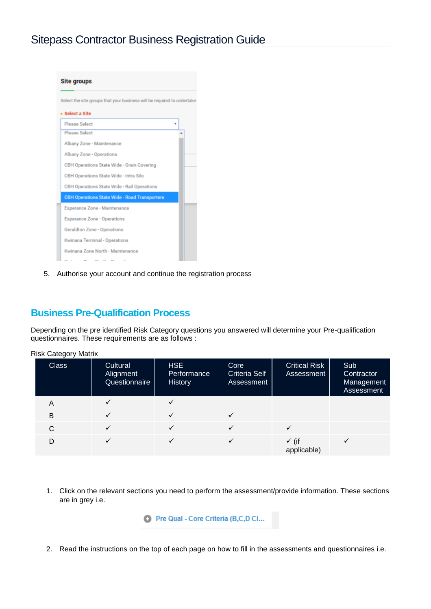

5. Authorise your account and continue the registration process

#### <span id="page-2-0"></span>**Business Pre-Qualification Process**

Depending on the pre identified Risk Category questions you answered will determine your Pre-qualification questionnaires. These requirements are as follows :

| <b>Risk Category Matrix</b> |                                        |                               |                                            |                                    |                                               |
|-----------------------------|----------------------------------------|-------------------------------|--------------------------------------------|------------------------------------|-----------------------------------------------|
| <b>Class</b>                | Cultural<br>Alignment<br>Questionnaire | HSE<br>Performance<br>History | Core<br><b>Criteria Self</b><br>Assessment | <b>Critical Risk</b><br>Assessment | Sub<br>Contractor<br>Management<br>Assessment |
| A                           |                                        |                               |                                            |                                    |                                               |
| B                           |                                        |                               |                                            |                                    |                                               |
| C                           |                                        |                               |                                            |                                    |                                               |
| D                           |                                        |                               |                                            | $\checkmark$ (if<br>applicable)    |                                               |

1. Click on the relevant sections you need to perform the assessment/provide information. These sections are in grey i.e.

C Pre Qual - Core Criteria (B,C,D Cl...

2. Read the instructions on the top of each page on how to fill in the assessments and questionnaires i.e.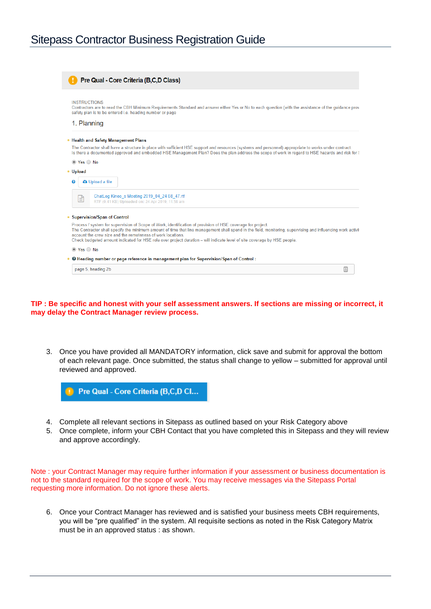| page 5, heading 2b                                                                                                                                                                                                                                                                                                                                     |  |
|--------------------------------------------------------------------------------------------------------------------------------------------------------------------------------------------------------------------------------------------------------------------------------------------------------------------------------------------------------|--|
| <b>O</b> Heading number or page reference in management plan for Supervision/Span of Control:                                                                                                                                                                                                                                                          |  |
| to Yes ○ No                                                                                                                                                                                                                                                                                                                                            |  |
| The Contractor shall specify the minimum amount of time that line management shall spend in the field, monitoring, supervising and influencing work activit<br>account the crew size and the remoteness of work locations.<br>Check budgeted amount indicated for HSE role over project duration - will indicate level of site coverage by HSE people. |  |
| Process / system for supervision of Scope of Work, identification of provision of HSE coverage for project.                                                                                                                                                                                                                                            |  |
| • Supervision/Span of Control                                                                                                                                                                                                                                                                                                                          |  |
| ChatLog Kineo s Meeting 2019 04 24 08 47.rtf<br>≘<br>RTF (0.41 KB) Uploaded on: 24 Apr 2019, 11:58 am                                                                                                                                                                                                                                                  |  |
| <b>a</b> Upload a file<br>ค                                                                                                                                                                                                                                                                                                                            |  |
| • Upload                                                                                                                                                                                                                                                                                                                                               |  |
| $\circ$ Yes $\circ$ No                                                                                                                                                                                                                                                                                                                                 |  |
| The Contractor shall have a structure in place with sufficient HSE support and resources (systems and personnel) appropriate to works under contract.<br>Is there a documented approved and embedded HSE Management Plan? Does the plan address the scope of work in regard to HSE hazards and risk for \$                                             |  |
| • Health and Safety Management Plans                                                                                                                                                                                                                                                                                                                   |  |
| 1. Planning                                                                                                                                                                                                                                                                                                                                            |  |
| <b>INSTRUCTIONS</b><br>Contractors are to read the CBH Minimum Requirements Standard and answer either Yes or No to each question (with the assistance of the quidance prov<br>safety plan is to be entered i.e. heading number or page                                                                                                                |  |
|                                                                                                                                                                                                                                                                                                                                                        |  |
| Pre Qual - Core Criteria (B,C,D Class)                                                                                                                                                                                                                                                                                                                 |  |

#### **TIP : Be specific and honest with your self assessment answers. If sections are missing or incorrect, it may delay the Contract Manager review process.**

3. Once you have provided all MANDATORY information, click save and submit for approval the bottom of each relevant page. Once submitted, the status shall change to yellow – submitted for approval until reviewed and approved.



- 4. Complete all relevant sections in Sitepass as outlined based on your Risk Category above
- 5. Once complete, inform your CBH Contact that you have completed this in Sitepass and they will review and approve accordingly.

Note : your Contract Manager may require further information if your assessment or business documentation is not to the standard required for the scope of work. You may receive messages via the Sitepass Portal requesting more information. Do not ignore these alerts.

6. Once your Contract Manager has reviewed and is satisfied your business meets CBH requirements, you will be "pre qualified" in the system. All requisite sections as noted in the Risk Category Matrix must be in an approved status : as shown.